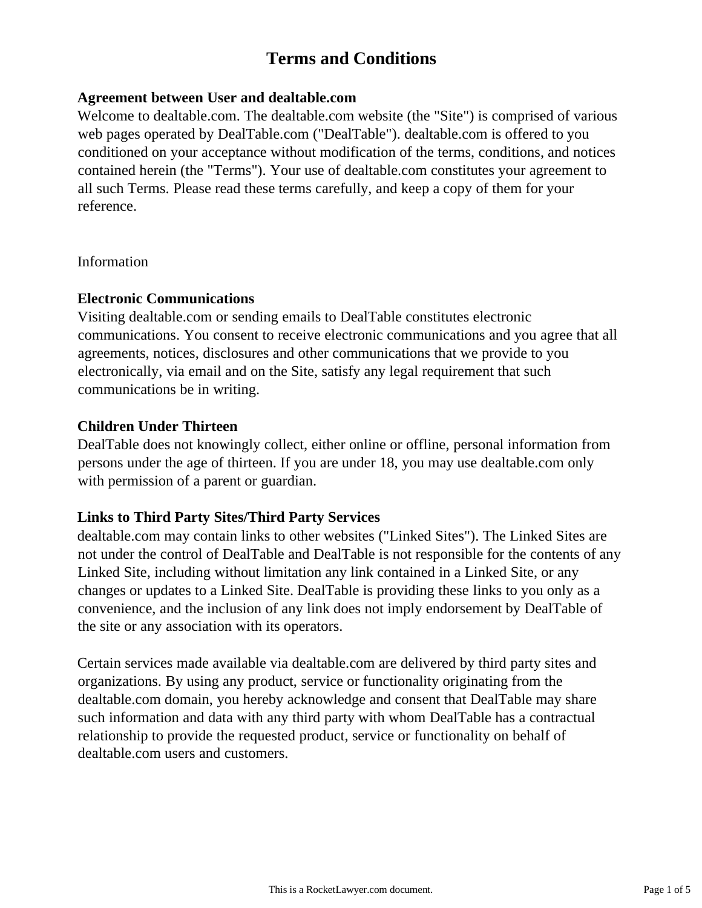# **Terms and Conditions**

## **Agreement between User and dealtable.com**

Welcome to dealtable.com. The dealtable.com website (the "Site") is comprised of various web pages operated by DealTable.com ("DealTable"). dealtable.com is offered to you conditioned on your acceptance without modification of the terms, conditions, and notices contained herein (the "Terms"). Your use of dealtable.com constitutes your agreement to all such Terms. Please read these terms carefully, and keep a copy of them for your reference.

Information

## **Electronic Communications**

Visiting dealtable.com or sending emails to DealTable constitutes electronic communications. You consent to receive electronic communications and you agree that all agreements, notices, disclosures and other communications that we provide to you electronically, via email and on the Site, satisfy any legal requirement that such communications be in writing.

# **Children Under Thirteen**

DealTable does not knowingly collect, either online or offline, personal information from persons under the age of thirteen. If you are under 18, you may use dealtable.com only with permission of a parent or guardian.

# **Links to Third Party Sites/Third Party Services**

dealtable.com may contain links to other websites ("Linked Sites"). The Linked Sites are not under the control of DealTable and DealTable is not responsible for the contents of any Linked Site, including without limitation any link contained in a Linked Site, or any changes or updates to a Linked Site. DealTable is providing these links to you only as a convenience, and the inclusion of any link does not imply endorsement by DealTable of the site or any association with its operators.

Certain services made available via dealtable.com are delivered by third party sites and organizations. By using any product, service or functionality originating from the dealtable.com domain, you hereby acknowledge and consent that DealTable may share such information and data with any third party with whom DealTable has a contractual relationship to provide the requested product, service or functionality on behalf of dealtable.com users and customers.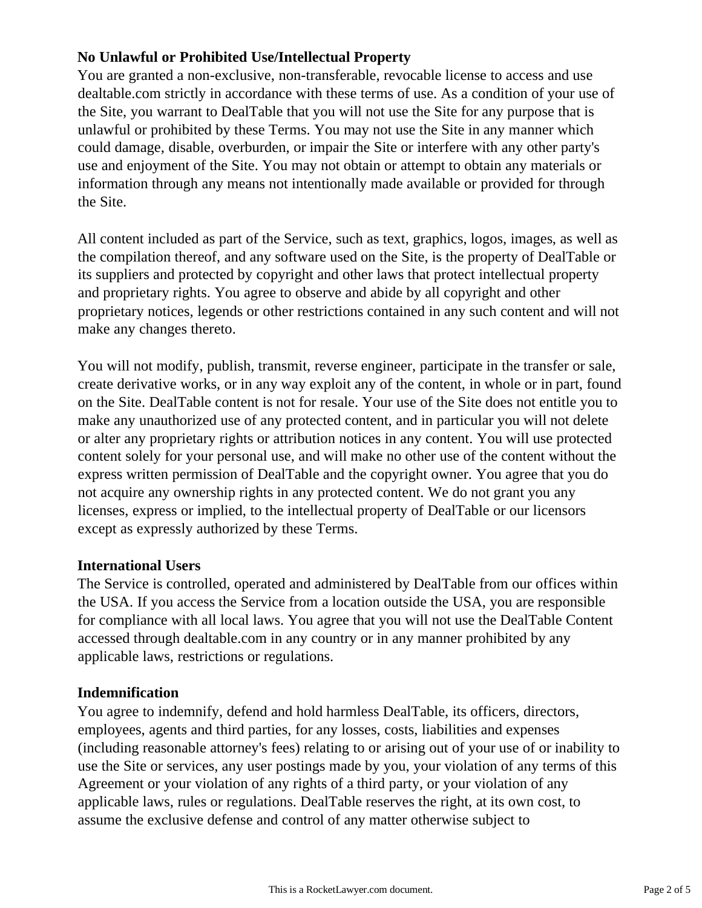# **No Unlawful or Prohibited Use/Intellectual Property**

You are granted a non-exclusive, non-transferable, revocable license to access and use dealtable.com strictly in accordance with these terms of use. As a condition of your use of the Site, you warrant to DealTable that you will not use the Site for any purpose that is unlawful or prohibited by these Terms. You may not use the Site in any manner which could damage, disable, overburden, or impair the Site or interfere with any other party's use and enjoyment of the Site. You may not obtain or attempt to obtain any materials or information through any means not intentionally made available or provided for through the Site.

All content included as part of the Service, such as text, graphics, logos, images, as well as the compilation thereof, and any software used on the Site, is the property of DealTable or its suppliers and protected by copyright and other laws that protect intellectual property and proprietary rights. You agree to observe and abide by all copyright and other proprietary notices, legends or other restrictions contained in any such content and will not make any changes thereto.

You will not modify, publish, transmit, reverse engineer, participate in the transfer or sale, create derivative works, or in any way exploit any of the content, in whole or in part, found on the Site. DealTable content is not for resale. Your use of the Site does not entitle you to make any unauthorized use of any protected content, and in particular you will not delete or alter any proprietary rights or attribution notices in any content. You will use protected content solely for your personal use, and will make no other use of the content without the express written permission of DealTable and the copyright owner. You agree that you do not acquire any ownership rights in any protected content. We do not grant you any licenses, express or implied, to the intellectual property of DealTable or our licensors except as expressly authorized by these Terms.

#### **International Users**

The Service is controlled, operated and administered by DealTable from our offices within the USA. If you access the Service from a location outside the USA, you are responsible for compliance with all local laws. You agree that you will not use the DealTable Content accessed through dealtable.com in any country or in any manner prohibited by any applicable laws, restrictions or regulations.

#### **Indemnification**

You agree to indemnify, defend and hold harmless DealTable, its officers, directors, employees, agents and third parties, for any losses, costs, liabilities and expenses (including reasonable attorney's fees) relating to or arising out of your use of or inability to use the Site or services, any user postings made by you, your violation of any terms of this Agreement or your violation of any rights of a third party, or your violation of any applicable laws, rules or regulations. DealTable reserves the right, at its own cost, to assume the exclusive defense and control of any matter otherwise subject to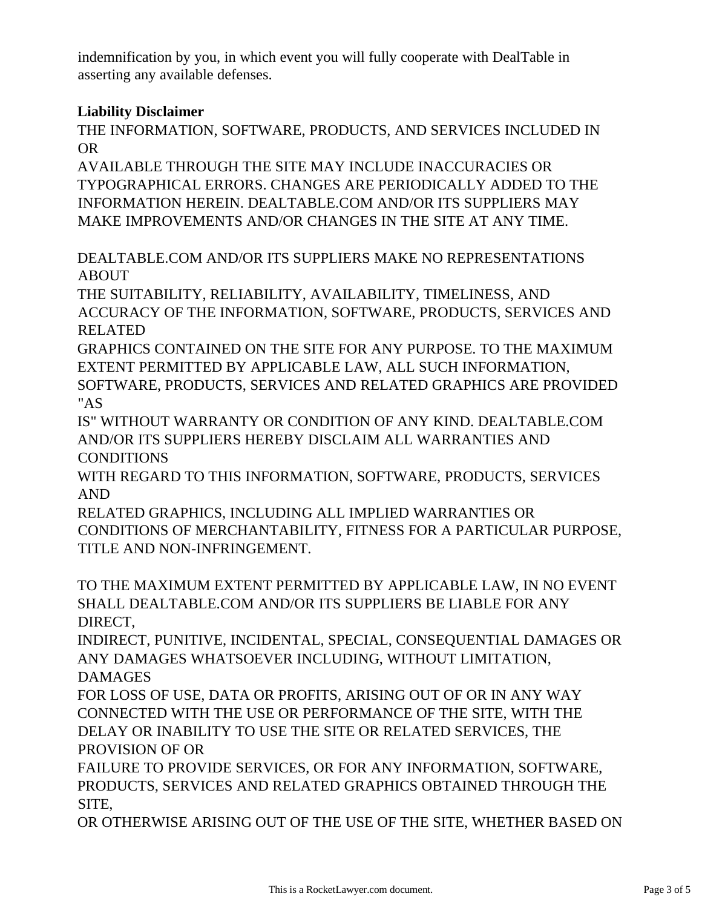indemnification by you, in which event you will fully cooperate with DealTable in asserting any available defenses.

# **Liability Disclaimer**

THE INFORMATION, SOFTWARE, PRODUCTS, AND SERVICES INCLUDED IN OR

AVAILABLE THROUGH THE SITE MAY INCLUDE INACCURACIES OR TYPOGRAPHICAL ERRORS. CHANGES ARE PERIODICALLY ADDED TO THE INFORMATION HEREIN. DEALTABLE.COM AND/OR ITS SUPPLIERS MAY MAKE IMPROVEMENTS AND/OR CHANGES IN THE SITE AT ANY TIME.

DEALTABLE.COM AND/OR ITS SUPPLIERS MAKE NO REPRESENTATIONS ABOUT

THE SUITABILITY, RELIABILITY, AVAILABILITY, TIMELINESS, AND ACCURACY OF THE INFORMATION, SOFTWARE, PRODUCTS, SERVICES AND RELATED

GRAPHICS CONTAINED ON THE SITE FOR ANY PURPOSE. TO THE MAXIMUM EXTENT PERMITTED BY APPLICABLE LAW, ALL SUCH INFORMATION, SOFTWARE, PRODUCTS, SERVICES AND RELATED GRAPHICS ARE PROVIDED "AS

IS" WITHOUT WARRANTY OR CONDITION OF ANY KIND. DEALTABLE.COM AND/OR ITS SUPPLIERS HEREBY DISCLAIM ALL WARRANTIES AND CONDITIONS

WITH REGARD TO THIS INFORMATION, SOFTWARE, PRODUCTS, SERVICES AND

RELATED GRAPHICS, INCLUDING ALL IMPLIED WARRANTIES OR CONDITIONS OF MERCHANTABILITY, FITNESS FOR A PARTICULAR PURPOSE, TITLE AND NON-INFRINGEMENT.

TO THE MAXIMUM EXTENT PERMITTED BY APPLICABLE LAW, IN NO EVENT SHALL DEALTABLE.COM AND/OR ITS SUPPLIERS BE LIABLE FOR ANY DIRECT,

INDIRECT, PUNITIVE, INCIDENTAL, SPECIAL, CONSEQUENTIAL DAMAGES OR ANY DAMAGES WHATSOEVER INCLUDING, WITHOUT LIMITATION, DAMAGES

FOR LOSS OF USE, DATA OR PROFITS, ARISING OUT OF OR IN ANY WAY CONNECTED WITH THE USE OR PERFORMANCE OF THE SITE, WITH THE DELAY OR INABILITY TO USE THE SITE OR RELATED SERVICES, THE PROVISION OF OR

FAILURE TO PROVIDE SERVICES, OR FOR ANY INFORMATION, SOFTWARE, PRODUCTS, SERVICES AND RELATED GRAPHICS OBTAINED THROUGH THE SITE,

OR OTHERWISE ARISING OUT OF THE USE OF THE SITE, WHETHER BASED ON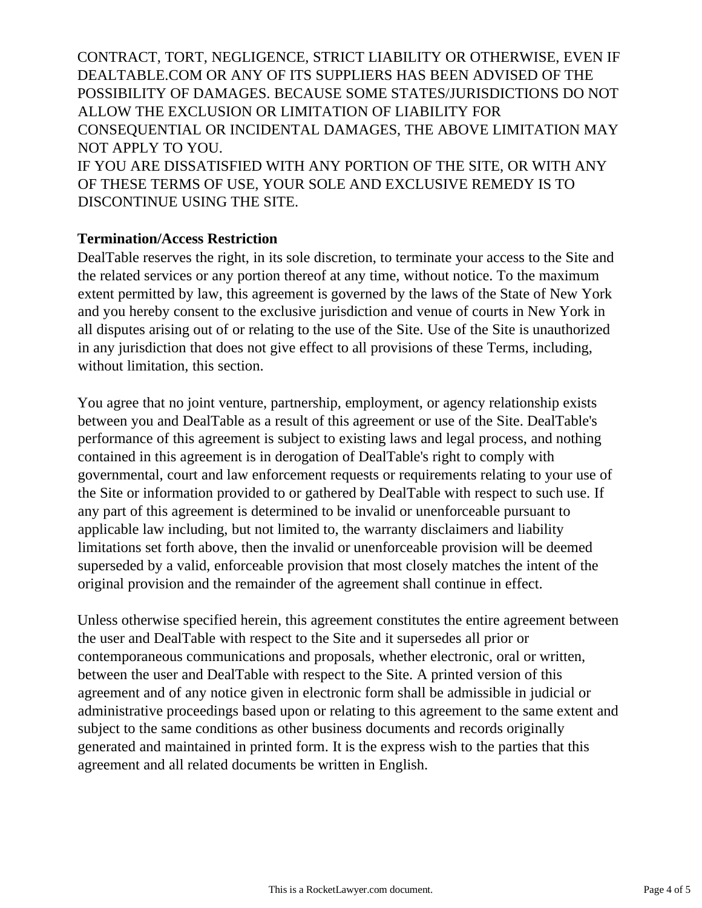CONTRACT, TORT, NEGLIGENCE, STRICT LIABILITY OR OTHERWISE, EVEN IF DEALTABLE.COM OR ANY OF ITS SUPPLIERS HAS BEEN ADVISED OF THE POSSIBILITY OF DAMAGES. BECAUSE SOME STATES/JURISDICTIONS DO NOT ALLOW THE EXCLUSION OR LIMITATION OF LIABILITY FOR CONSEQUENTIAL OR INCIDENTAL DAMAGES, THE ABOVE LIMITATION MAY NOT APPLY TO YOU.

IF YOU ARE DISSATISFIED WITH ANY PORTION OF THE SITE, OR WITH ANY OF THESE TERMS OF USE, YOUR SOLE AND EXCLUSIVE REMEDY IS TO DISCONTINUE USING THE SITE.

#### **Termination/Access Restriction**

DealTable reserves the right, in its sole discretion, to terminate your access to the Site and the related services or any portion thereof at any time, without notice. To the maximum extent permitted by law, this agreement is governed by the laws of the State of New York and you hereby consent to the exclusive jurisdiction and venue of courts in New York in all disputes arising out of or relating to the use of the Site. Use of the Site is unauthorized in any jurisdiction that does not give effect to all provisions of these Terms, including, without limitation, this section.

You agree that no joint venture, partnership, employment, or agency relationship exists between you and DealTable as a result of this agreement or use of the Site. DealTable's performance of this agreement is subject to existing laws and legal process, and nothing contained in this agreement is in derogation of DealTable's right to comply with governmental, court and law enforcement requests or requirements relating to your use of the Site or information provided to or gathered by DealTable with respect to such use. If any part of this agreement is determined to be invalid or unenforceable pursuant to applicable law including, but not limited to, the warranty disclaimers and liability limitations set forth above, then the invalid or unenforceable provision will be deemed superseded by a valid, enforceable provision that most closely matches the intent of the original provision and the remainder of the agreement shall continue in effect.

Unless otherwise specified herein, this agreement constitutes the entire agreement between the user and DealTable with respect to the Site and it supersedes all prior or contemporaneous communications and proposals, whether electronic, oral or written, between the user and DealTable with respect to the Site. A printed version of this agreement and of any notice given in electronic form shall be admissible in judicial or administrative proceedings based upon or relating to this agreement to the same extent and subject to the same conditions as other business documents and records originally generated and maintained in printed form. It is the express wish to the parties that this agreement and all related documents be written in English.